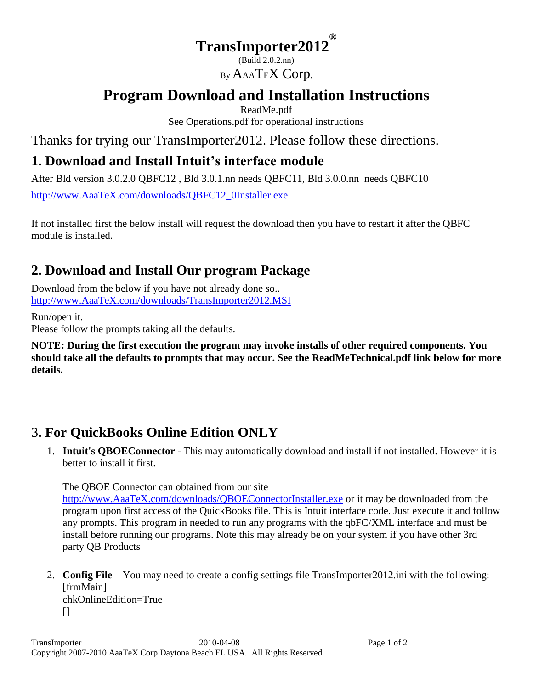#### **TransImporter2012 ®**

(Build 2.0.2.nn) By AAATEX Corp.

# **Program Download and Installation Instructions**

ReadMe.pdf See Operations.pdf for operational instructions

Thanks for trying our TransImporter2012. Please follow these directions.

### **1. Download and Install Intuit's interface module**

After Bld version 3.0.2.0 QBFC12 , Bld 3.0.1.nn needs QBFC11, Bld 3.0.0.nn needs QBFC10 [http://www.AaaTeX.com/downloads/QBFC12\\_0Installer.exe](http://www.aaatex.com/downloads/QBFC12_0Installer.exe)

If not installed first the below install will request the download then you have to restart it after the QBFC module is installed.

# **2. Download and Install Our program Package**

Download from the below if you have not already done so.. [http://www.AaaTeX.com/downloads/TransImporter2012.MSI](http://www.aaatex.com/downloads/TransImporter2012.MSI)

Run/open it.

Please follow the prompts taking all the defaults.

**NOTE: During the first execution the program may invoke installs of other required components. You should take all the defaults to prompts that may occur. See the ReadMeTechnical.pdf link below for more details.**

### 3**. For QuickBooks Online Edition ONLY**

1. **Intuit's QBOEConnector** - This may automatically download and install if not installed. However it is better to install it first.

The QBOE Connector can obtained from our site

[http://www.AaaTeX.com/downloads/QBOEConnectorInstaller.exe](http://www.aaatex.com/downloads/QBOEConnectorInstaller.exe) or it may be downloaded from the program upon first access of the QuickBooks file. This is Intuit interface code. Just execute it and follow any prompts. This program in needed to run any programs with the qbFC/XML interface and must be install before running our programs. Note this may already be on your system if you have other 3rd party QB Products

2. **Config File** – You may need to create a config settings file TransImporter2012.ini with the following: [frmMain] chkOnlineEdition=True  $\prod$